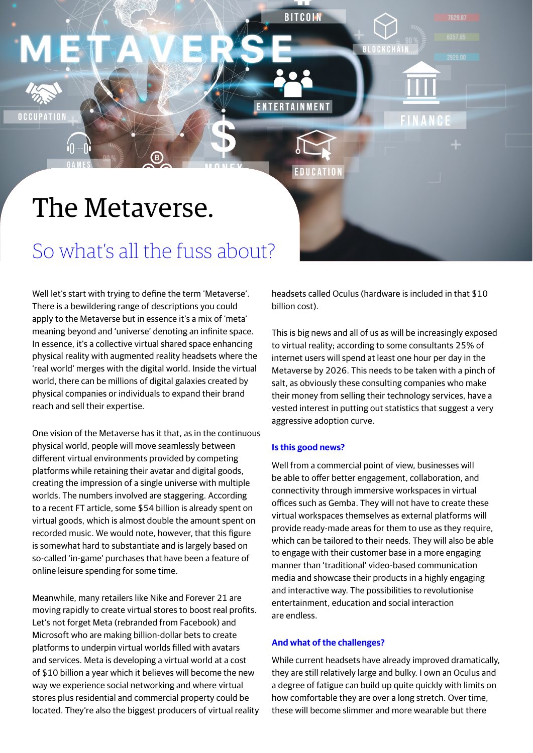# The Metaverse.

## So what's all the fuss about?

Well let's start with trying to define the term 'Metaverse'. There is a bewildering range of descriptions you could apply to the Metaverse but in essence it's a mix of 'meta' meaning beyond and 'universe' denoting an infinite space. In essence, it's a collective virtual shared space enhancing physical reality with augmented reality headsets where the 'real world' merges with the digital world. Inside the virtual world, there can be millions of digital galaxies created by physical companies or individuals to expand their brand reach and sell their expertise.

One vision of the Metaverse has it that, as in the continuous physical world, people will move seamlessly between different virtual environments provided by competing platforms while retaining their avatar and digital goods, creating the impression of a single universe with multiple worlds. The numbers involved are staggering. According to a recent FT article, some \$54 billion is already spent on virtual goods, which is almost double the amount spent on recorded music. We would note, however, that this figure is somewhat hard to substantiate and is largely based on so-called 'in-game' purchases that have been a feature of online leisure spending for some time.

Meanwhile, many retailers like Nike and Forever 21 are moving rapidly to create virtual stores to boost real profits. Let's not forget Meta (rebranded from Facebook) and Microsoft who are making billion-dollar bets to create platforms to underpin virtual worlds filled with avatars and services. Meta is developing a virtual world at a cost of \$10 billion a year which it believes will become the new way we experience social networking and where virtual stores plus residential and commercial property could be located. They're also the biggest producers of virtual reality headsets called Oculus (hardware is included in that \$10 billion cost).

This is big news and all of us as will be increasingly exposed to virtual reality; according to some consultants 25% of internet users will spend at least one hour per day in the Metaverse by 2026. This needs to be taken with a pinch of salt, as obviously these consulting companies who make their money from selling their technology services, have a vested interest in putting out statistics that suggest a very aggressive adoption curve.

#### **Is this good news?**

**RITCOL** 

**ENTERTAINMENT** 

Well from a commercial point of view, businesses will be able to offer better engagement, collaboration, and connectivity through immersive workspaces in virtual offices such as Gemba. They will not have to create these virtual workspaces themselves as external platforms will provide ready-made areas for them to use as they require, which can be tailored to their needs. They will also be able to engage with their customer base in a more engaging manner than 'traditional' video-based communication media and showcase their products in a highly engaging and interactive way. The possibilities to revolutionise entertainment, education and social interaction are endless.

#### **And what of the challenges?**

While current headsets have already improved dramatically, they are still relatively large and bulky. I own an Oculus and a degree of fatigue can build up quite quickly with limits on how comfortable they are over a long stretch. Over time, these will become slimmer and more wearable but there